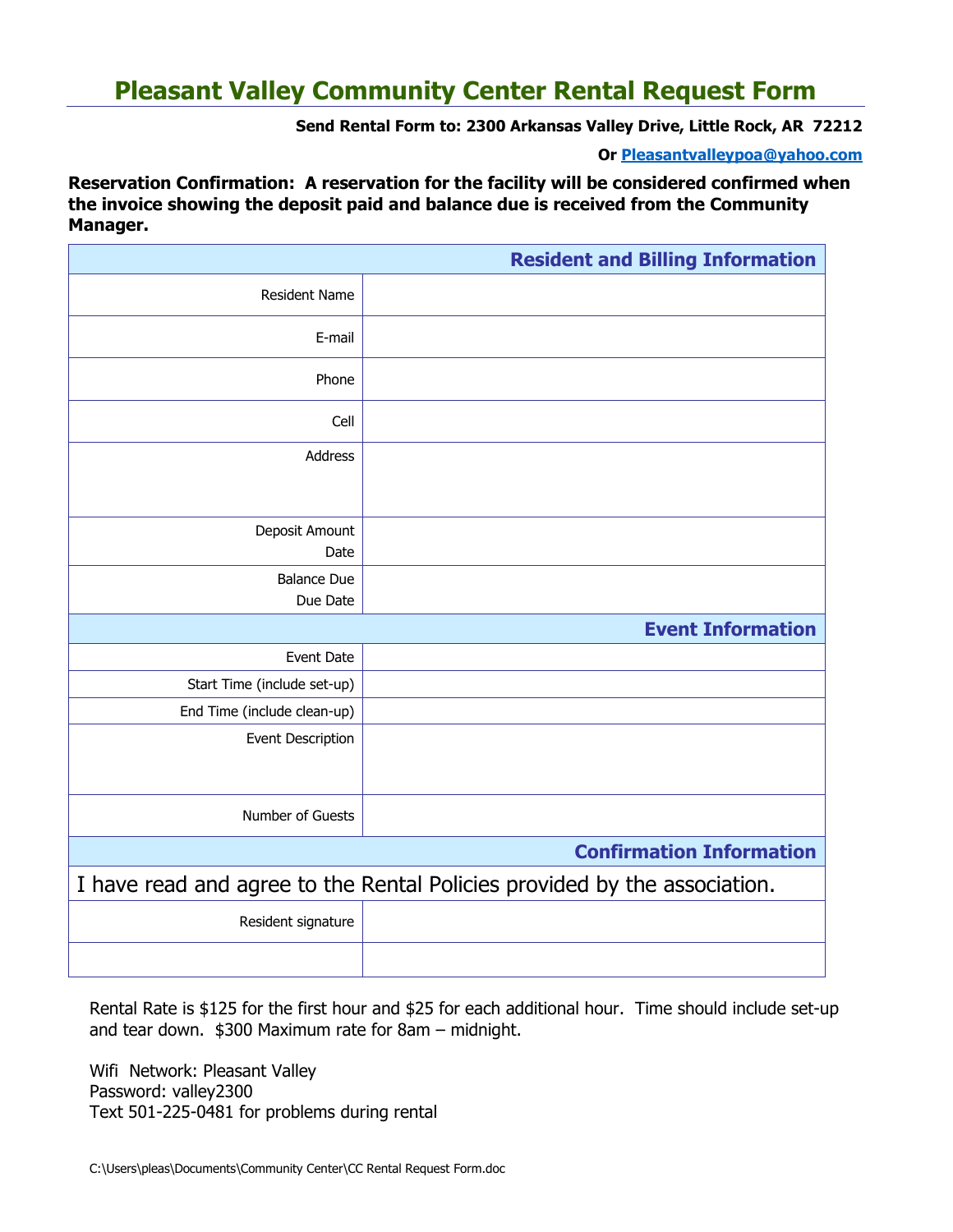# **Pleasant Valley Community Center Rental Request Form**

**Send Rental Form to: 2300 Arkansas Valley Drive, Little Rock, AR 72212**

**Or [Pleasantvalleypoa@yahoo.com](mailto:Pleasantvalleypoa@yahoo.com)**

**Reservation Confirmation: A reservation for the facility will be considered confirmed when the invoice showing the deposit paid and balance due is received from the Community Manager.**

|                                                                           | <b>Resident and Billing Information</b> |
|---------------------------------------------------------------------------|-----------------------------------------|
| <b>Resident Name</b>                                                      |                                         |
| E-mail                                                                    |                                         |
| Phone                                                                     |                                         |
| Cell                                                                      |                                         |
| Address                                                                   |                                         |
|                                                                           |                                         |
| Deposit Amount<br>Date                                                    |                                         |
| <b>Balance Due</b>                                                        |                                         |
| Due Date                                                                  |                                         |
| <b>Event Information</b>                                                  |                                         |
| Event Date                                                                |                                         |
| Start Time (include set-up)                                               |                                         |
| End Time (include clean-up)                                               |                                         |
| Event Description                                                         |                                         |
| Number of Guests                                                          |                                         |
| <b>Confirmation Information</b>                                           |                                         |
| I have read and agree to the Rental Policies provided by the association. |                                         |
| Resident signature                                                        |                                         |
|                                                                           |                                         |

Rental Rate is \$125 for the first hour and \$25 for each additional hour. Time should include set-up and tear down. \$300 Maximum rate for 8am – midnight.

Wifi Network: Pleasant Valley Password: valley2300 Text 501-225-0481 for problems during rental